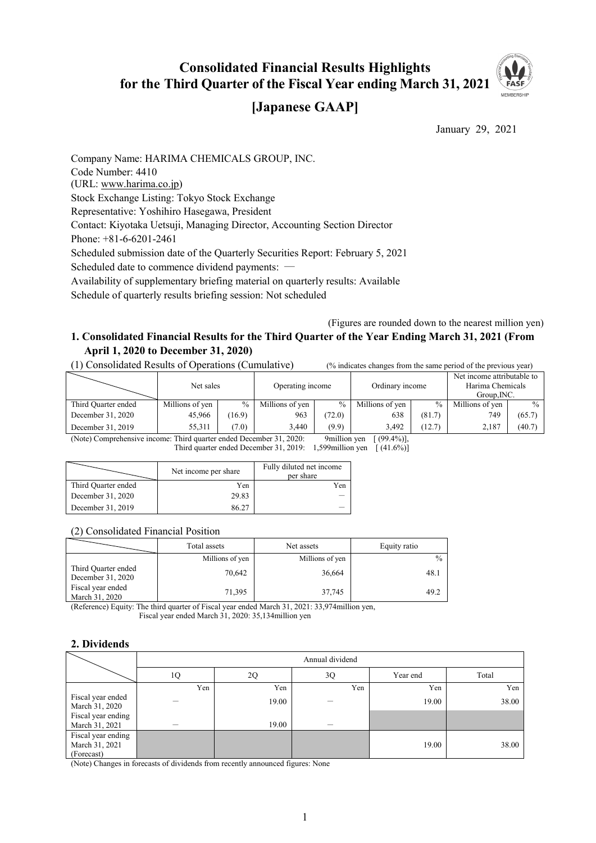# **Consolidated Financial Results Highlights for the Third Quarter of the Fiscal Year ending March 31, 2021**



## **[Japanese GAAP]**

January 29, 2021

Company Name: HARIMA CHEMICALS GROUP, INC. Code Number: 4410 (URL: www.harima.co.jp) Stock Exchange Listing: Tokyo Stock Exchange Representative: Yoshihiro Hasegawa, President Contact: Kiyotaka Uetsuji, Managing Director, Accounting Section Director Phone: +81-6-6201-2461 Scheduled submission date of the Quarterly Securities Report: February 5, 2021 Scheduled date to commence dividend payments: ― Availability of supplementary briefing material on quarterly results: Available Schedule of quarterly results briefing session: Not scheduled

(Figures are rounded down to the nearest million yen)

## **1. Consolidated Financial Results for the Third Quarter of the Year Ending March 31, 2021 (From April 1, 2020 to December 31, 2020)**

(1) Consolidated Results of Operations (Cumulative) (% indicates changes from the same period of the previous year)

|                           | Net sales       |            | Operating income |                                | Ordinary income |        | Net income attributable to<br>Harima Chemicals<br>Group.INC. |        |
|---------------------------|-----------------|------------|------------------|--------------------------------|-----------------|--------|--------------------------------------------------------------|--------|
| Third Quarter ended       | Millions of yen | $\%$       | Millions of yen  | $\frac{0}{0}$                  | Millions of ven | $\%$   | Millions of yen                                              | $\%$   |
| December 31, 2020         | 45,966          | (16.9)     | 963              | (72.0)                         | 638             | (81.7) | 749                                                          | (65.7) |
| December 31, 2019         | 55.311          | (7.0)      | 3.440            | (9.9)                          | 3.492           | (12.7) | 2.187                                                        | (40.7) |
| $\mathbf{A}$ $\mathbf{A}$ |                 | $\sqrt{1}$ | 21.2020          | $\sim$ $\cdot$ $\cdot$ $\cdot$ | 0.00111         |        |                                                              |        |

(Note) Comprehensive income: Third quarter ended December 31, 2020: 9million yen [ (99.4%)], Third quarter ended December 31, 2019: 1,599 million yen  $(41.6\%)$ 

|                     | Net income per share | Fully diluted net income<br>per share |
|---------------------|----------------------|---------------------------------------|
| Third Quarter ended | Yen                  | Yen                                   |
| December 31, 2020   | 29.83                |                                       |
| December 31, 2019   | 86.27                |                                       |

#### (2) Consolidated Financial Position

|                                          | Total assets    | Net assets      | Equity ratio  |  |
|------------------------------------------|-----------------|-----------------|---------------|--|
|                                          | Millions of yen | Millions of yen | $\frac{0}{0}$ |  |
| Third Quarter ended<br>December 31, 2020 | 70,642          | 36,664          | 48.1          |  |
| Fiscal year ended<br>March 31, 2020      | 71,395          | 37,745          | 49.2          |  |

(Reference) Equity: The third quarter of Fiscal year ended March 31, 2021: 33,974million yen, Fiscal year ended March 31, 2020: 35,134million yen

#### **2. Dividends**

|                                                    | Annual dividend |       |     |          |       |  |  |
|----------------------------------------------------|-----------------|-------|-----|----------|-------|--|--|
|                                                    | 1Q              | 2Q    | 3Q  | Year end | Total |  |  |
|                                                    | Yen             | Yen   | Yen | Yen      | Yen   |  |  |
| Fiscal year ended<br>March 31, 2020                |                 | 19.00 |     | 19.00    | 38.00 |  |  |
| Fiscal year ending<br>March 31, 2021               |                 | 19.00 |     |          |       |  |  |
| Fiscal year ending<br>March 31, 2021<br>(Forecast) |                 |       |     | 19.00    | 38.00 |  |  |

(Note) Changes in forecasts of dividends from recently announced figures: None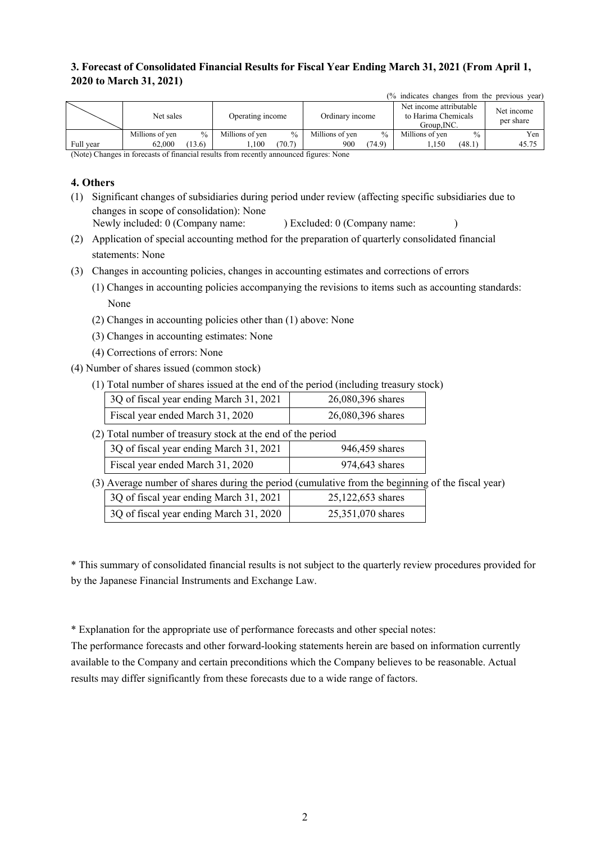## **3. Forecast of Consolidated Financial Results for Fiscal Year Ending March 31, 2021 (From April 1, 2020 to March 31, 2021)**

|           |                 |        |                                                                                                                           |               |                 |        | (% indicates changes from the previous year)                  |               |                         |
|-----------|-----------------|--------|---------------------------------------------------------------------------------------------------------------------------|---------------|-----------------|--------|---------------------------------------------------------------|---------------|-------------------------|
|           | Net sales       |        | Operating income                                                                                                          |               | Ordinary income |        | Net income attributable<br>to Harima Chemicals<br>Group, INC. |               | Net income<br>per share |
|           | Millions of yen | $\%$   | Millions of yen                                                                                                           | $\frac{0}{0}$ | Millions of yen | $\%$   | Millions of yen                                               | $\frac{0}{0}$ | Yen                     |
| Full year | 62,000          | (13.6) | .100                                                                                                                      | (70.7)        | 900             | (74.9) | 1,150                                                         | (48.1)        | 45.75                   |
|           |                 |        | $\alpha$ and $\alpha$ is the contract of the contract of $\alpha$ is the contract of $\alpha$ is the contract of $\alpha$ |               |                 |        |                                                               |               |                         |

(Note) Changes in forecasts of financial results from recently announced figures: None

#### **4. Others**

- (1) Significant changes of subsidiaries during period under review (affecting specific subsidiaries due to changes in scope of consolidation): None Newly included: 0 (Company name: ) Excluded: 0 (Company name: )
- (2) Application of special accounting method for the preparation of quarterly consolidated financial

statements: None

- (3) Changes in accounting policies, changes in accounting estimates and corrections of errors
	- (1) Changes in accounting policies accompanying the revisions to items such as accounting standards: None
	- (2) Changes in accounting policies other than (1) above: None
	- (3) Changes in accounting estimates: None
	- (4) Corrections of errors: None
- (4) Number of shares issued (common stock)
	- (1) Total number of shares issued at the end of the period (including treasury stock)

| 3Q of fiscal year ending March 31, 2021 | 26,080,396 shares |
|-----------------------------------------|-------------------|
| Fiscal year ended March 31, 2020        | 26,080,396 shares |

(2) Total number of treasury stock at the end of the period

| 3Q of fiscal year ending March 31, 2021 | 946,459 shares |
|-----------------------------------------|----------------|
| Fiscal year ended March 31, 2020        | 974,643 shares |

(3) Average number of shares during the period (cumulative from the beginning of the fiscal year)

| 3Q of fiscal year ending March 31, 2021 | 25,122,653 shares |
|-----------------------------------------|-------------------|
| 3Q of fiscal year ending March 31, 2020 | 25,351,070 shares |

\* This summary of consolidated financial results is not subject to the quarterly review procedures provided for by the Japanese Financial Instruments and Exchange Law.

\* Explanation for the appropriate use of performance forecasts and other special notes:

The performance forecasts and other forward-looking statements herein are based on information currently available to the Company and certain preconditions which the Company believes to be reasonable. Actual results may differ significantly from these forecasts due to a wide range of factors.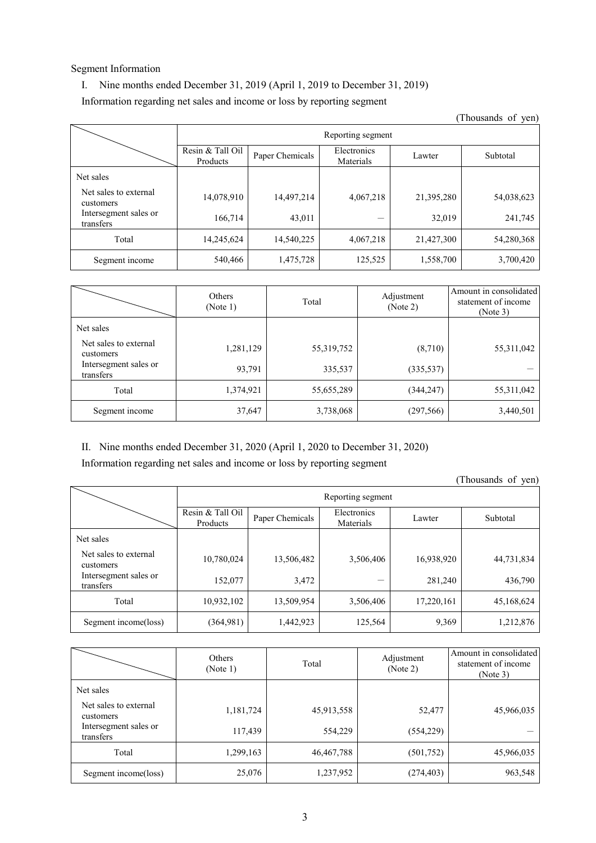#### Segment Information

#### I. Nine months ended December 31, 2019 (April 1, 2019 to December 31, 2019)

Information regarding net sales and income or loss by reporting segment

(Thousands of yen) Reporting segment Resin & Tall Oil Products Products Paper Chemicals Electronics Materials Lawter Subtotal Net sales Net sales to external customers 14,078,910 14,497,214 4,067,218 21,395,280 54,038,623 Intersegment sales or transfers 166,714  $\begin{array}{|c|c|c|c|c|c|c|c|c|} \hline \end{array}$  166,714 43,011  $\begin{array}{|c|c|c|c|c|c|c|c|c|} \hline \end{array}$  32,019 241,745 Total 14,245,624 14,540,225 4,067,218 21,427,300 54,280,368 Segment income 540,466 1,475,728 125,525 1,558,700 3,700,420

|                                    | Others<br>(Note 1) | Total      | Adjustment<br>(Note 2) | Amount in consolidated<br>statement of income<br>(Note 3) |
|------------------------------------|--------------------|------------|------------------------|-----------------------------------------------------------|
| Net sales                          |                    |            |                        |                                                           |
| Net sales to external<br>customers | 1,281,129          | 55,319,752 | (8,710)                | 55, 311, 042                                              |
| Intersegment sales or<br>transfers | 93,791             | 335,537    | (335, 537)             |                                                           |
| Total                              | 1,374,921          | 55,655,289 | (344, 247)             | 55, 311, 042                                              |
| Segment income                     | 37,647             | 3,738,068  | (297, 566)             | 3,440,501                                                 |

II. Nine months ended December 31, 2020 (April 1, 2020 to December 31, 2020)

Information regarding net sales and income or loss by reporting segment

(Thousands of yen)

|                                    | Reporting segment            |                 |                          |            |            |  |  |  |
|------------------------------------|------------------------------|-----------------|--------------------------|------------|------------|--|--|--|
|                                    | Resin & Tall Oil<br>Products | Paper Chemicals | Electronics<br>Materials | Lawter     | Subtotal   |  |  |  |
| Net sales                          |                              |                 |                          |            |            |  |  |  |
| Net sales to external<br>customers | 10,780,024                   | 13,506,482      | 3,506,406                | 16,938,920 | 44,731,834 |  |  |  |
| Intersegment sales or<br>transfers | 152,077                      | 3,472           |                          | 281,240    | 436,790    |  |  |  |
| Total                              | 10,932,102                   | 13,509,954      | 3,506,406                | 17,220,161 | 45,168,624 |  |  |  |
| Segment income(loss)               | (364,981)                    | 1,442,923       | 125,564                  | 9,369      | 1,212,876  |  |  |  |

|                                    | Others<br>(Note 1) | Total      | Adjustment<br>(Note 2) | Amount in consolidated<br>statement of income<br>(Note 3) |
|------------------------------------|--------------------|------------|------------------------|-----------------------------------------------------------|
| Net sales                          |                    |            |                        |                                                           |
| Net sales to external<br>customers | 1,181,724          | 45,913,558 | 52,477                 | 45,966,035                                                |
| Intersegment sales or<br>transfers | 117,439            | 554,229    | (554, 229)             |                                                           |
| Total                              | 1,299,163          | 46,467,788 | (501,752)              | 45,966,035                                                |
| Segment income(loss)               | 25,076             | 1,237,952  | (274, 403)             | 963,548                                                   |